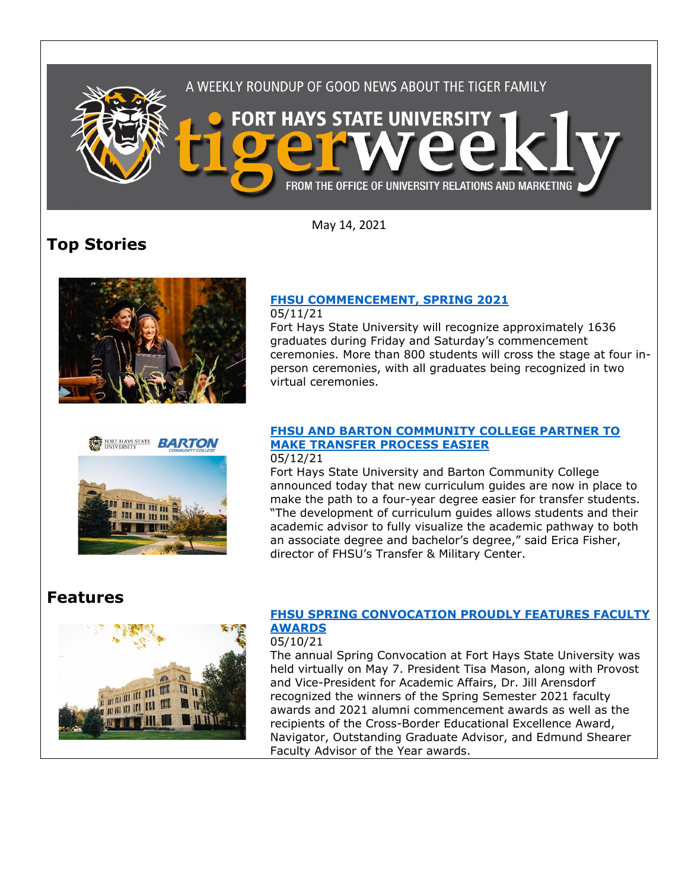

May 14, 2021

# **Top Stories**





# **FHSU [COMMENCEMENT, SPRING 2021](https://www.fhsu.edu/news/2021/05/fhsu-commencement,-spring-2021)**

05/11/21 Fort Hays State University will recognize approximately 1636 graduates during Friday and Saturday's commencement ceremonies. More than 800 students will cross the stage at four inperson ceremonies, with all graduates being recognized in two virtual ceremonies.

#### **[FHSU AND BARTON COMMUNITY COLLEGE PARTNER TO](https://www.fhsu.edu/news/2021/05/fhsu-and-barton-community-college-partner-to-make-transfer-process-easier)  MAKE [TRANSFER PROCESS EASIER](https://www.fhsu.edu/news/2021/05/fhsu-and-barton-community-college-partner-to-make-transfer-process-easier)** 05/12/21

Fort Hays State University and Barton Community College announced today that new curriculum guides are now in place to make the path to a four-year degree easier for transfer students. "The development of curriculum guides allows students and their academic advisor to fully visualize the academic pathway to both an associate degree and bachelor's degree," said Erica Fisher, director of FHSU's Transfer & Military Center.

# **Features**



## **[FHSU SPRING CONVOCATION PROUDLY FEATURES FACULTY](https://www.fhsu.edu/news/2021/05/fhsu-spring-convocation-proudly-features-faculty-awards)  [AWARDS](https://www.fhsu.edu/news/2021/05/fhsu-spring-convocation-proudly-features-faculty-awards)**

05/10/21

The annual Spring Convocation at Fort Hays State University was held virtually on May 7. President Tisa Mason, along with Provost and Vice-President for Academic Affairs, Dr. Jill Arensdorf recognized the winners of the Spring Semester 2021 faculty awards and 2021 alumni commencement awards as well as the recipients of the Cross-Border Educational Excellence Award, Navigator, Outstanding Graduate Advisor, and Edmund Shearer Faculty Advisor of the Year awards.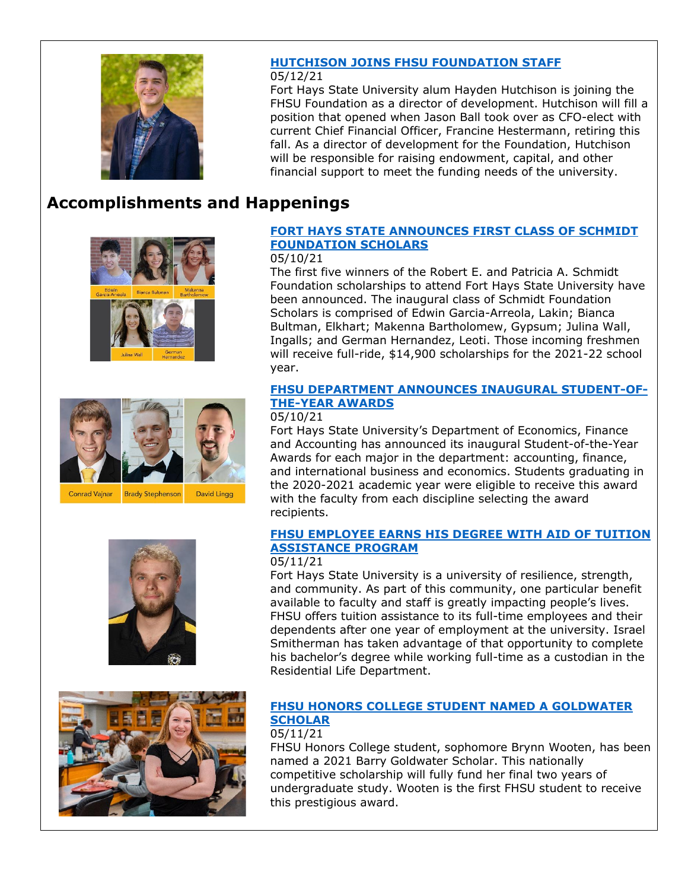

## **[HUTCHISON JOINS FHSU FOUNDATION STAFF](https://www.fhsu.edu/news/2021/05/hutchison-joins-fhsu-foundation-staff)**

### 05/12/21

Fort Hays State University alum Hayden Hutchison is joining the FHSU Foundation as a director of development. Hutchison will fill a position that opened when Jason Ball took over as CFO-elect with current Chief Financial Officer, Francine Hestermann, retiring this fall. As a director of development for the Foundation, Hutchison will be responsible for raising endowment, capital, and other financial support to meet the funding needs of the university.

# **Accomplishments and Happenings**









## **[FORT HAYS STATE ANNOUNCES FIRST CLASS OF SCHMIDT](https://www.fhsu.edu/news/2021/05/fort-hays-state-announces-first-class-of-schmidt-foundation-scholars)  [FOUNDATION SCHOLARS](https://www.fhsu.edu/news/2021/05/fort-hays-state-announces-first-class-of-schmidt-foundation-scholars)**

#### 05/10/21

The first five winners of the Robert E. and Patricia A. Schmidt Foundation scholarships to attend Fort Hays State University have been announced. The inaugural class of Schmidt Foundation Scholars is comprised of Edwin Garcia-Arreola, Lakin; Bianca Bultman, Elkhart; Makenna Bartholomew, Gypsum; Julina Wall, Ingalls; and German Hernandez, Leoti. Those incoming freshmen will receive full-ride, \$14,900 scholarships for the 2021-22 school year.

### **[FHSU DEPARTMENT ANNOUNCES INAUGURAL STUDENT-OF-](https://www.fhsu.edu/news/2021/05/fhsu-department-announces-inaugural-student-of-the-year-awards)[THE-YEAR AWARDS](https://www.fhsu.edu/news/2021/05/fhsu-department-announces-inaugural-student-of-the-year-awards)**

#### 05/10/21

Fort Hays State University's Department of Economics, Finance and Accounting has announced its inaugural Student-of-the-Year Awards for each major in the department: accounting, finance, and international business and economics. Students graduating in the 2020-2021 academic year were eligible to receive this award with the faculty from each discipline selecting the award recipients.

## **[FHSU EMPLOYEE EARNS HIS DEGREE WITH AID OF TUITION](https://www.fhsu.edu/news/2021/05/fhsu-employee-earns-his-degree-with-aid-of-tuition-assistance-program)  [ASSISTANCE PROGRAM](https://www.fhsu.edu/news/2021/05/fhsu-employee-earns-his-degree-with-aid-of-tuition-assistance-program)**

### 05/11/21

Fort Hays State University is a university of resilience, strength, and community. As part of this community, one particular benefit available to faculty and staff is greatly impacting people's lives. FHSU offers tuition assistance to its full-time employees and their dependents after one year of employment at the university. Israel Smitherman has taken advantage of that opportunity to complete his bachelor's degree while working full-time as a custodian in the Residential Life Department.

## **[FHSU HONORS COLLEGE STUDENT NAMED A GOLDWATER](https://www.fhsu.edu/news/2021/05/fhsu-honors-college-student-named-a-goldwater-scholar)  [SCHOLAR](https://www.fhsu.edu/news/2021/05/fhsu-honors-college-student-named-a-goldwater-scholar)**

#### 05/11/21

[FHSU Honors College](https://www.facebook.com/FHSUHonorsCollege/?__cft__%5b0%5d=AZUXC14IxgjuBha4pgzWky-TV1tehwaiiwIpOjCKvn_DWtdSGwaI9evZ1_YfRagw-TSyLPHbdzYyf0ebPgM_Ny-Q4nat_RyX0dY-JlO0hzY-0BakPkX7hLEUpk0vH6xEXa5hTX9jLdATp7XL8H7gf-1I94PcgpfA4GgeG5Jt_dTWavttfjDqIQLs_rbdOq1TplQ&__tn__=kK-R) student, sophomore Brynn Wooten, has been named a 2021 Barry Goldwater Scholar. This nationally competitive scholarship will fully fund her final two years of undergraduate study. Wooten is the first FHSU student to receive this prestigious award.